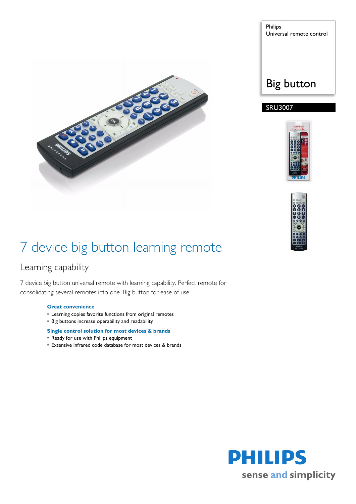

Philips Universal remote control

### Big button

### SRU3007





## 7 device big button learning remote

### Learning capability

7 device big button universal remote with learning capability. Perfect remote for consolidating several remotes into one. Big button for ease of use.

#### **Great convenience**

- Learning copies favorite functions from original remotes
- Big buttons increase operability and readability

#### **Single control solution for most devices & brands**

- Ready for use with Philips equipment
- Extensive infrared code database for most devices & brands